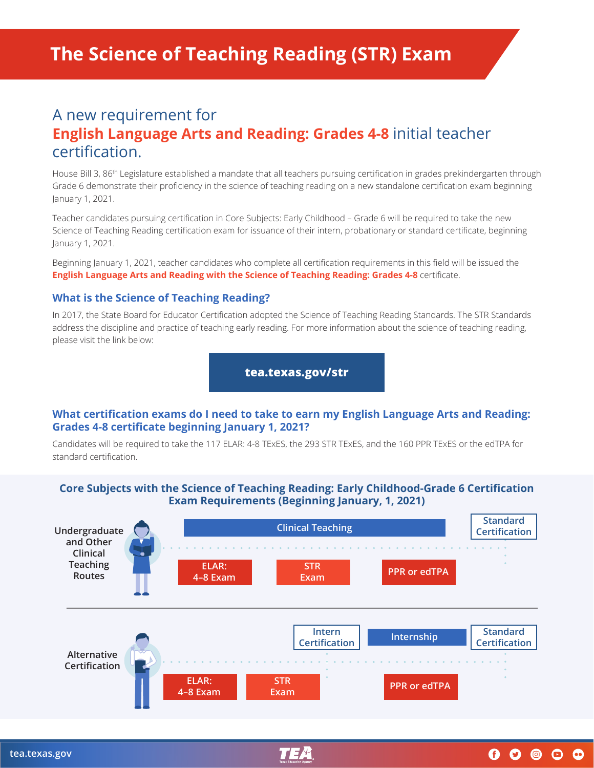# A new requirement for **English Language Arts and Reading: Grades 4-8** initial teacher certification.

House Bill 3, 86th Legislature established a mandate that all teachers pursuing certification in grades prekindergarten through Grade 6 demonstrate their proficiency in the science of teaching reading on a new standalone certification exam beginning January 1, 2021.

Teacher candidates pursuing certification in Core Subjects: Early Childhood – Grade 6 will be required to take the new Science of Teaching Reading certification exam for issuance of their intern, probationary or standard certificate, beginning January 1, 2021.

Beginning January 1, 2021, teacher candidates who complete all certification requirements in this field will be issued the **English Language Arts and Reading with the Science of Teaching Reading: Grades 4-8** certificate.

#### **What is the Science of Teaching Reading?**

In 2017, the State Board for Educator Certification adopted the Science of Teaching Reading Standards. The STR Standards address the discipline and practice of teaching early reading. For more information about the science of teaching reading, please visit the link below:

**[tea.texas.gov/str](http://tea.texas.gov/str)**

#### **What certification exams do I need to take to earn my English Language Arts and Reading: Grades 4-8 certificate beginning January 1, 2021?**

Candidates will be required to take the 117 ELAR: 4-8 TExES, the 293 STR TExES, and the 160 PPR TExES or the edTPA for standard certification.

### **Core Subjects with the Science of Teaching Reading: Early Childhood-Grade 6 Certification Exam Requirements (Beginning January, 1, 2021)**